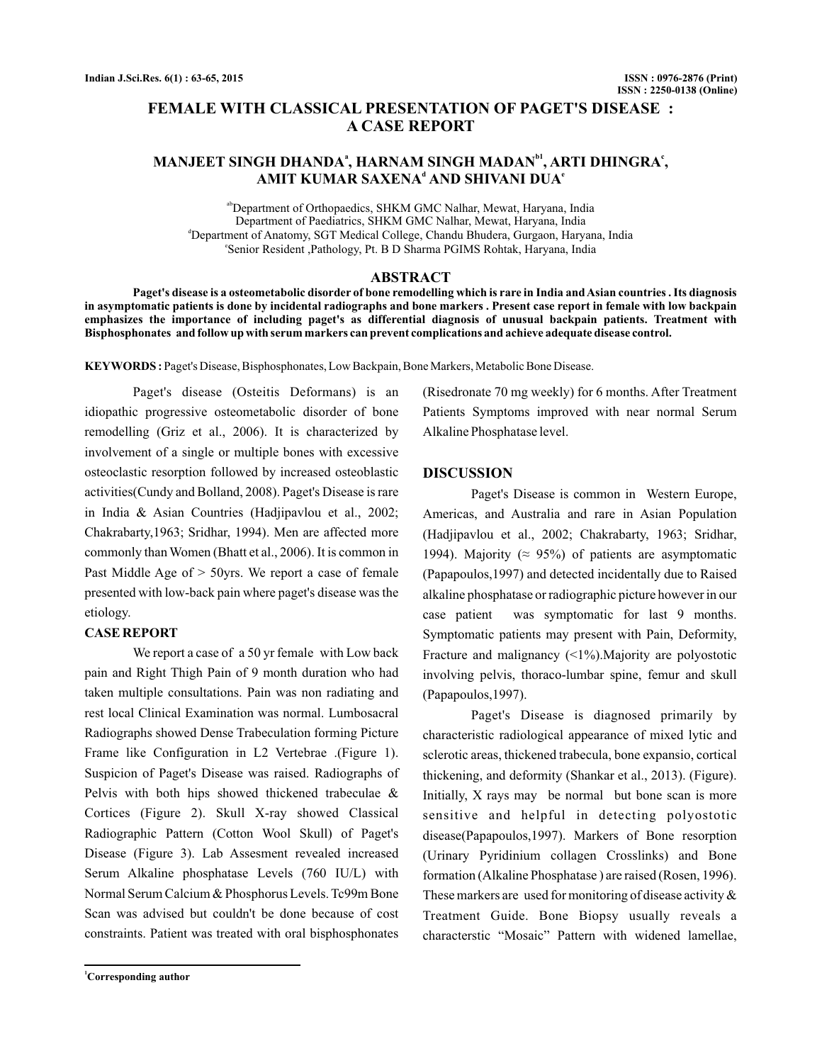# **FEMALE WITH CLASSICAL PRESENTATION OF PAGET'S DISEASE : A CASE REPORT**

## MANJEET SINGH DHANDAª, HARNAM SINGH MADAN<sup>ы</sup>, ARTI DHINGRA°,  $\mathbf{AMIT}$  KUMAR SAXENA $^{\mathsf{d}}$  AND SHIVANI DUA $^{\mathsf{e}}$

abDepartment of Orthopaedics, SHKM GMC Nalhar, Mewat, Haryana, India d Department of Anatomy, SGT Medical College, Chandu Bhudera, Gurgaon, Haryana, India e Senior Resident ,Pathology, Pt. B D Sharma PGIMS Rohtak, Haryana, India Department of Paediatrics, SHKM GMC Nalhar, Mewat, Haryana, India

## **ABSTRACT**

**Paget's disease is a osteometabolic disorder of bone remodelling which is rare in India and Asian countries . Its diagnosis in asymptomatic patients is done by incidental radiographs and bone markers . Present case report in female with low backpain emphasizes the importance of including paget's as differential diagnosis of unusual backpain patients. Treatment with Bisphosphonates and follow up with serum markers can prevent complications and achieve adequate disease control.**

KEYWORDS: Paget's Disease, Bisphosphonates, Low Backpain, Bone Markers, Metabolic Bone Disease.

Paget's disease (Osteitis Deformans) is an idiopathic progressive osteometabolic disorder of bone remodelling (Griz et al., 2006). It is characterized by involvement of a single or multiple bones with excessive osteoclastic resorption followed by increased osteoblastic activities(Cundy and Bolland, 2008). Paget's Disease is rare in India & Asian Countries (Hadjipavlou et al., 2002; Chakrabarty,1963; Sridhar, 1994). Men are affected more commonly than Women (Bhatt et al., 2006). It is common in Past Middle Age of  $>$  50yrs. We report a case of female presented with low-back pain where paget's disease was the etiology.

#### **CASE REPORT**

We report a case of a 50 yr female with Low back pain and Right Thigh Pain of 9 month duration who had taken multiple consultations. Pain was non radiating and rest local Clinical Examination was normal. Lumbosacral Radiographs showed Dense Trabeculation forming Picture Frame like Configuration in L2 Vertebrae .(Figure 1). Suspicion of Paget's Disease was raised. Radiographs of Pelvis with both hips showed thickened trabeculae & Cortices (Figure 2). Skull X-ray showed Classical Radiographic Pattern (Cotton Wool Skull) of Paget's Disease (Figure 3). Lab Assesment revealed increased Serum Alkaline phosphatase Levels (760 IU/L) with Normal Serum Calcium & Phosphorus Levels. Tc99m Bone Scan was advised but couldn't be done because of cost constraints. Patient was treated with oral bisphosphonates

**<sup>1</sup>Corresponding author**

(Risedronate 70 mg weekly) for 6 months. After Treatment Patients Symptoms improved with near normal Serum Alkaline Phosphatase level.

## **DISCUSSION**

Paget's Disease is common in Western Europe, Americas, and Australia and rare in Asian Population (Hadjipavlou et al., 2002; Chakrabarty, 1963; Sridhar, 1994). Majority ( $\approx$  95%) of patients are asymptomatic (Papapoulos,1997) and detected incidentally due to Raised alkaline phosphatase or radiographic picture however in our case patient was symptomatic for last 9 months. Symptomatic patients may present with Pain, Deformity, Fracture and malignancy  $\left( \langle 1\% \rangle \right)$ . Majority are polyostotic involving pelvis, thoraco-lumbar spine, femur and skull (Papapoulos,1997).

Paget's Disease is diagnosed primarily by characteristic radiological appearance of mixed lytic and sclerotic areas, thickened trabecula, bone expansio, cortical thickening, and deformity (Shankar et al., 2013). (Figure). Initially, X rays may be normal but bone scan is more sensitive and helpful in detecting polyostotic disease(Papapoulos,1997). Markers of Bone resorption (Urinary Pyridinium collagen Crosslinks) and Bone formation (Alkaline Phosphatase ) are raised (Rosen, 1996). These markers are used for monitoring of disease activity & Treatment Guide. Bone Biopsy usually reveals a characterstic "Mosaic" Pattern with widened lamellae,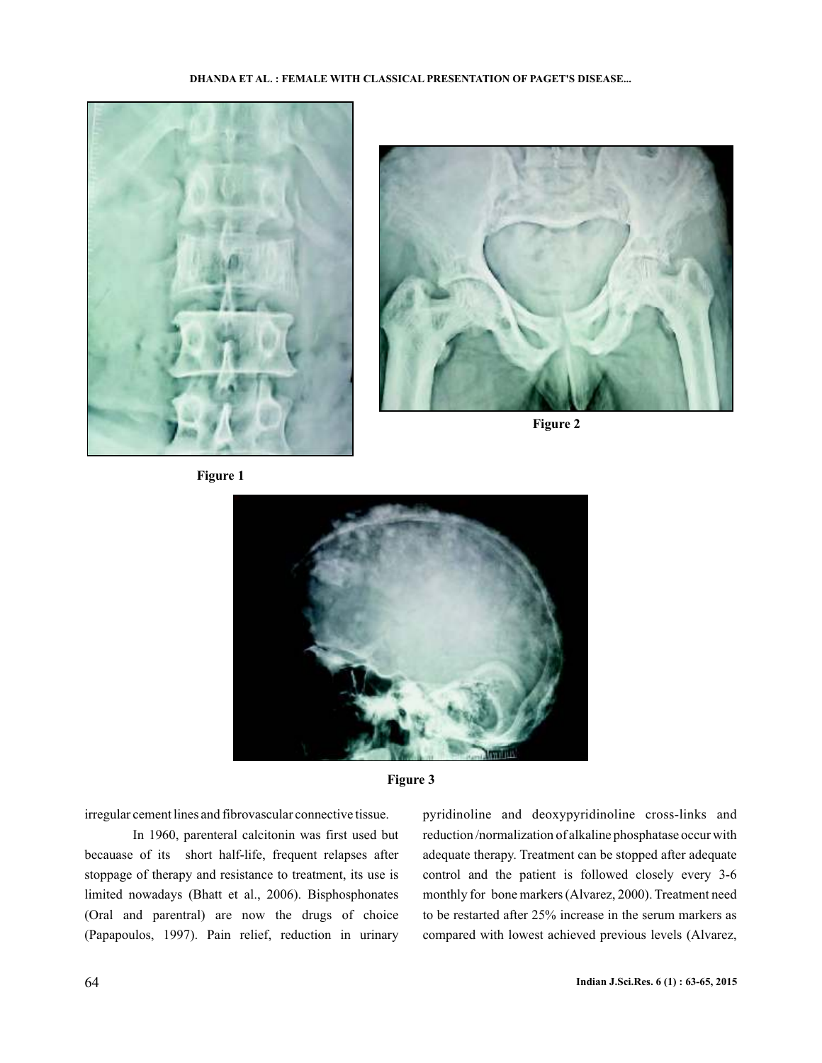









irregular cement lines and fibrovascular connective tissue.

In 1960, parenteral calcitonin was first used but becauase of its short half-life, frequent relapses after stoppage of therapy and resistance to treatment, its use is limited nowadays (Bhatt et al., 2006). Bisphosphonates (Oral and parentral) are now the drugs of choice (Papapoulos, 1997). Pain relief, reduction in urinary pyridinoline and deoxypyridinoline cross-links and reduction /normalization of alkaline phosphatase occur with adequate therapy. Treatment can be stopped after adequate control and the patient is followed closely every 3-6 monthly for bone markers (Alvarez, 2000). Treatment need to be restarted after 25% increase in the serum markers as compared with lowest achieved previous levels (Alvarez,